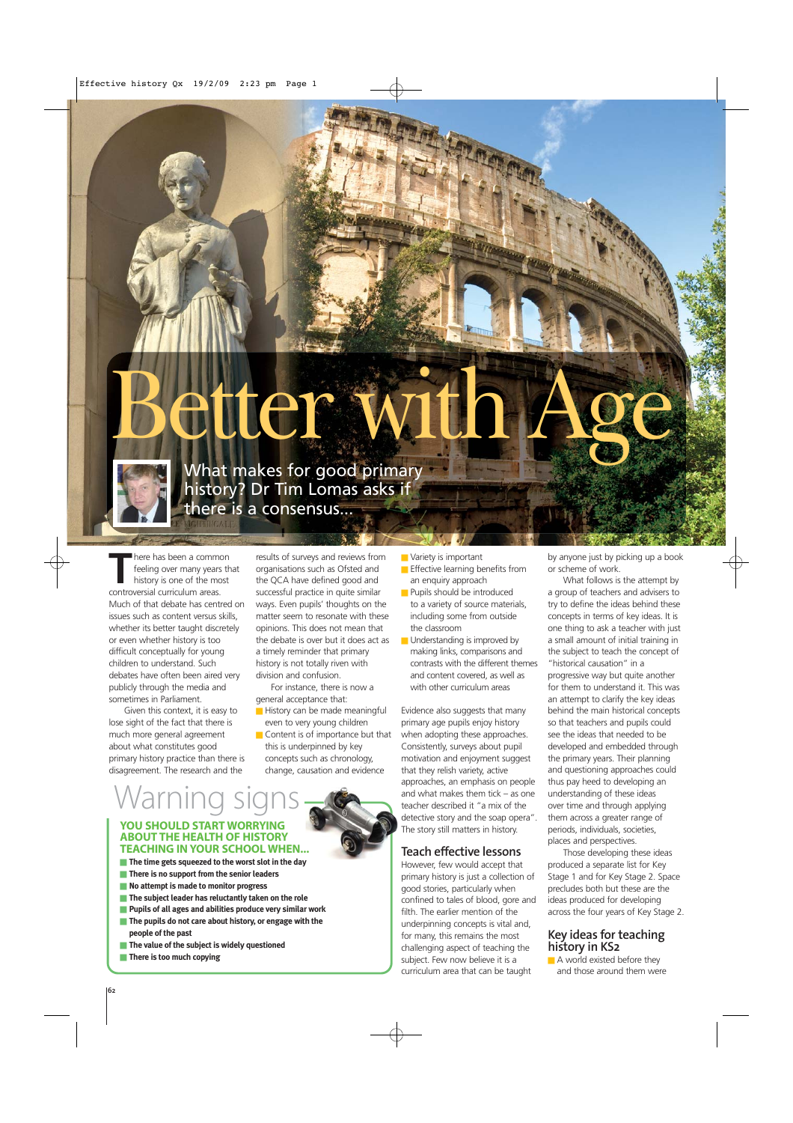

What makes for good primary<br>history? Dr Tim Lomas asks if<br>there is a consensus... history? Dr Tim Lomas asks if there is a consensus...

There has been a common<br>feeling over many years the<br>history is one of the most feeling over many years that history is one of the most controversial curriculum areas. Much of that debate has centred on issues such as content versus skills, whether its better taught discretely or even whether history is too difficult conceptually for young children to understand. Such debates have often been aired very publicly through the media and sometimes in Parliament.

Given this context, it is easy to lose sight of the fact that there is much more general agreement about what constitutes good primary history practice than there is disagreement. The research and the

results of surveys and reviews from organisations such as Ofsted and the QCA have defined good and successful practice in quite similar ways. Even pupils' thoughts on the matter seem to resonate with these opinions. This does not mean that the debate is over but it does act as a timely reminder that primary history is not totally riven with division and confusion.

 $3 - 2$ 

For instance, there is now a general acceptance that:

- History can be made meaningful even to very young children
- Content is of importance but that this is underpinned by key concepts such as chronology, change, causation and evidence

■ Variety is important

- **Effective learning benefits from** an enquiry approach
- Pupils should be introduced to a variety of source materials, including some from outside the classroom
- Understanding is improved by making links, comparisons and contrasts with the different themes and content covered, as well as with other curriculum areas

Evidence also suggests that many primary age pupils enjoy history when adopting these approaches. Consistently, surveys about pupil motivation and enjoyment suggest that they relish variety, active approaches, an emphasis on people and what makes them tick – as one teacher described it "a mix of the detective story and the soap opera". The story still matters in history.

# **Teach effective lessons**

However, few would accept that primary history is just a collection of good stories, particularly when confined to tales of blood, gore and filth. The earlier mention of the underpinning concepts is vital and, for many, this remains the most challenging aspect of teaching the subject. Few now believe it is a curriculum area that can be taught

by anyone just by picking up a book or scheme of work.

What follows is the attempt by a group of teachers and advisers to try to define the ideas behind these concepts in terms of key ideas. It is one thing to ask a teacher with just a small amount of initial training in the subject to teach the concept of "historical causation" in a progressive way but quite another for them to understand it. This was an attempt to clarify the key ideas behind the main historical concepts so that teachers and pupils could see the ideas that needed to be developed and embedded through the primary years. Their planning and questioning approaches could thus pay heed to developing an understanding of these ideas over time and through applying them across a greater range of periods, individuals, societies, places and perspectives.

Those developing these ideas produced a separate list for Key Stage 1 and for Key Stage 2. Space precludes both but these are the ideas produced for developing across the four years of Key Stage 2.

### **Key ideas for teaching history in KS2**

■ A world existed before they and those around them were

# **ABOUT THE HEALTH OF HISTORY**<br>THE HEALTH OF HISTORY **YOU SHOULD START WORRYING TEACHING IN YOUR SCHOOL WHEN...**

- **The time gets squeezed to the worst slot in the day**
- **There is no support from the senior leaders**
- **No attempt is made to monitor progress**
- **The subject leader has reluctantly taken on the role**
- **Pupils of all ages and abilities produce very similar work**
- **The pupils do not care about history, or engage with the people of the past**
- **The value of the subject is widely questioned**
- **There is too much copying**